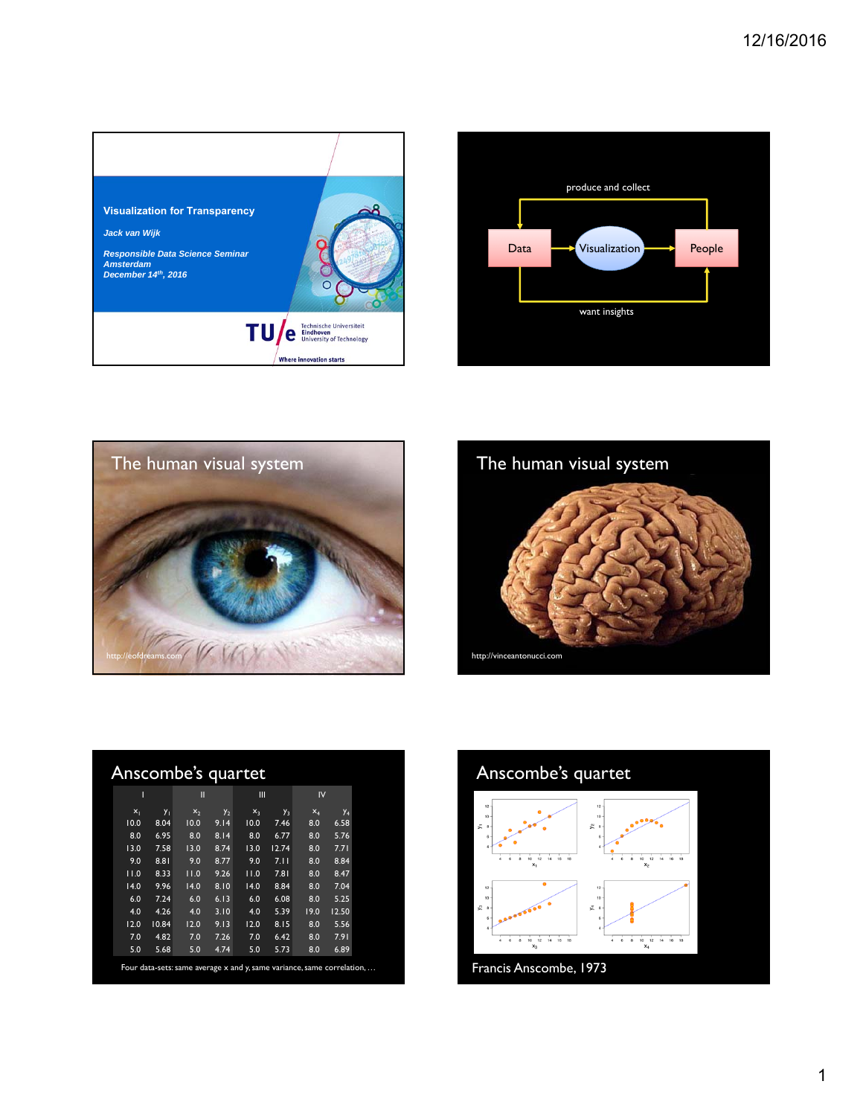







| Т     |       | П              |                | Ш     |       | IV.   |                       |
|-------|-------|----------------|----------------|-------|-------|-------|-----------------------|
| $x_1$ | $y_1$ | x <sub>2</sub> | y <sub>2</sub> | $x_3$ | $y_3$ | $X_4$ | <b>Y</b> <sub>4</sub> |
| 10.0  | 8.04  | 10.0           | 9.14           | 10.0  | 7.46  | 8.0   | 6.58                  |
| 8.0   | 6.95  | 8.0            | 8.14           | 8.0   | 6.77  | 8.0   | 5.76                  |
| 13.0  | 7.58  | 13.0           | 8.74           | 13.0  | 12.74 | 8.0   | 7.71                  |
| 9.0   | 8.81  | 9.0            | 8.77           | 9.0   | 7.11  | 8.0   | 8.84                  |
| 11.0  | 8.33  | 11.0           | 9.26           | 11.0  | 7.81  | 8.0   | 8.47                  |
| 14.0  | 9.96  | 14.0           | 8.10           | 14.0  | 8.84  | 8.0   | 7.04                  |
| 6.0   | 7.24  | 6.0            | 6.13           | 6.0   | 6.08  | 8.0   | 5.25                  |
| 4.0   | 4.26  | 4.0            | 3.10           | 4.0   | 5.39  | 19.0  | 12.50                 |
| 12.0  | 10.84 | 12.0           | 9.13           | 12.0  | 8.15  | 8.0   | 5.56                  |
| 7.0   | 4.82  | 7.0            | 7.26           | 7.0   | 6.42  | 8.0   | 7.91                  |
| 5.0   | 5.68  | 5.0            | 4.74           | 5.0   | 5.73  | 8.0   | 6.89                  |

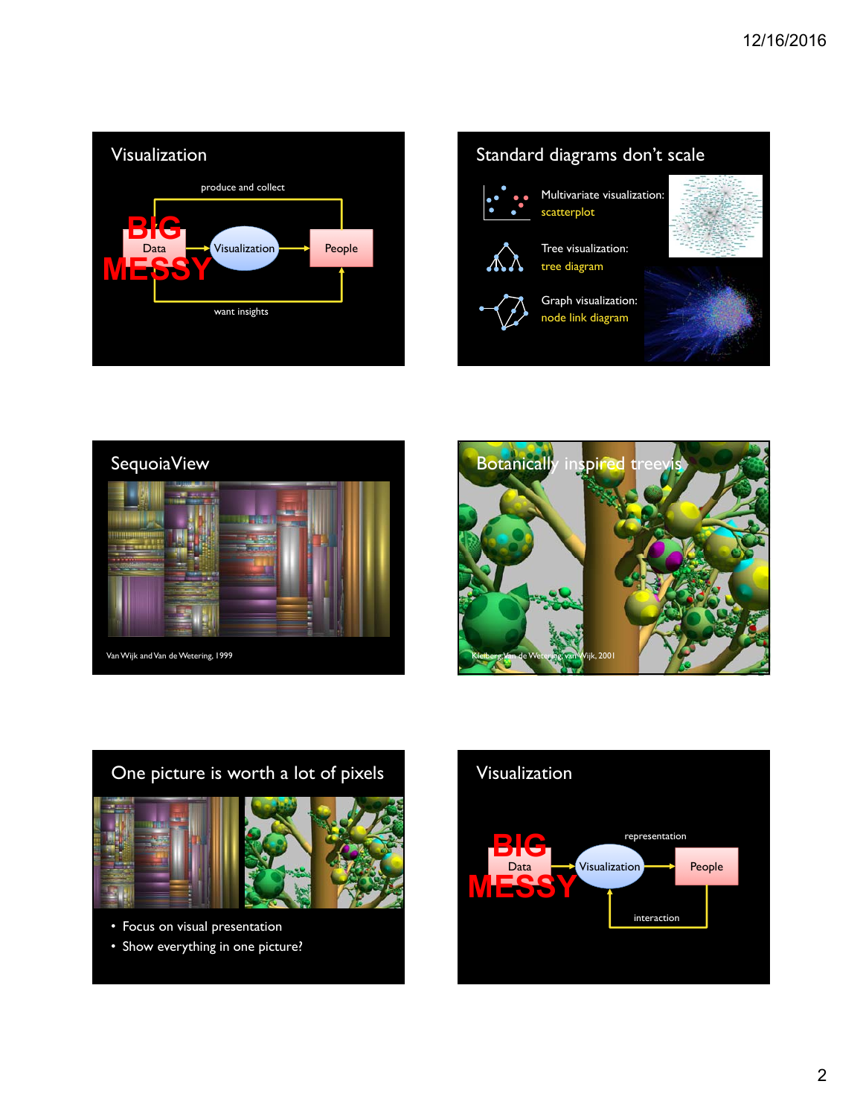







## One picture is worth a lot of pixels





- Focus on visual presentation
- Show everything in one picture?

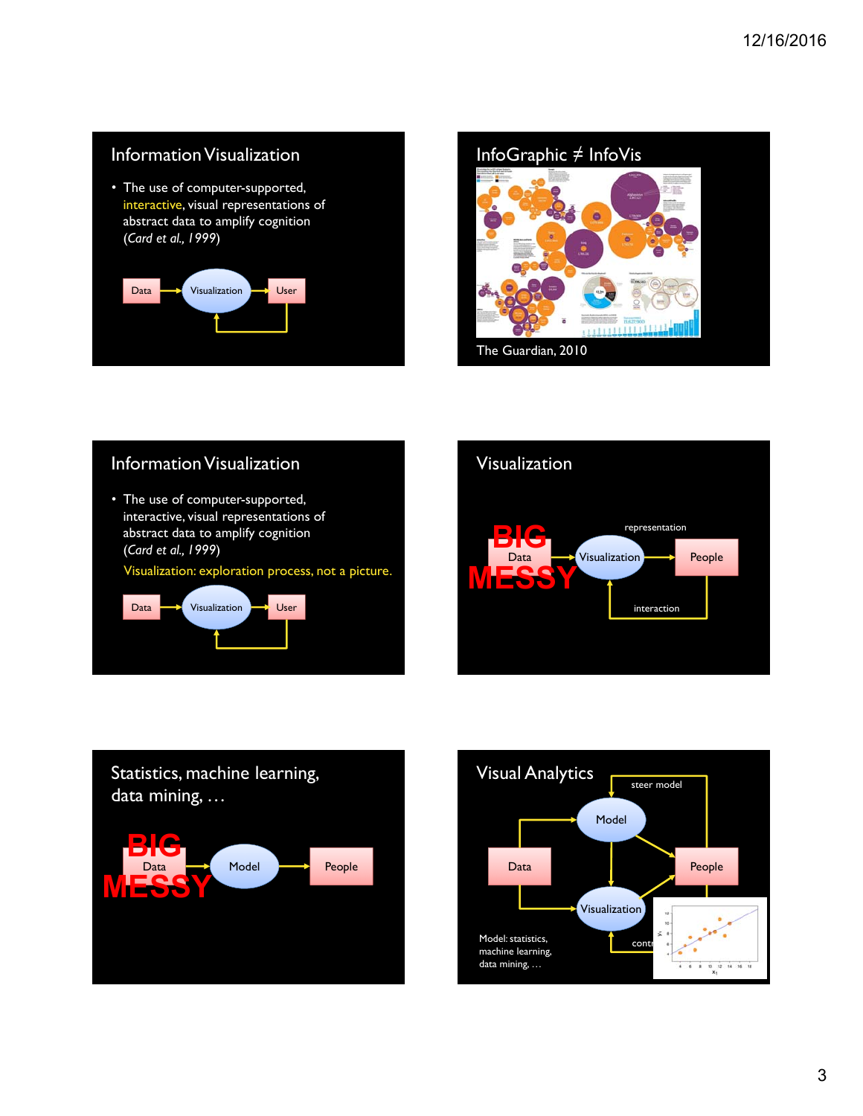#### Information Visualization

• The use of computer-supported, interactive, visual representations of abstract data to amplify cognition (*Card et al., 1999*)





## Information Visualization

• The use of computer-supported, interactive, visual representations of abstract data to amplify cognition (*Card et al., 1999*) Visualization: exploration process, not a picture.





# Statistics, machine learning, data mining, … Data Model **People BIG MESSY**

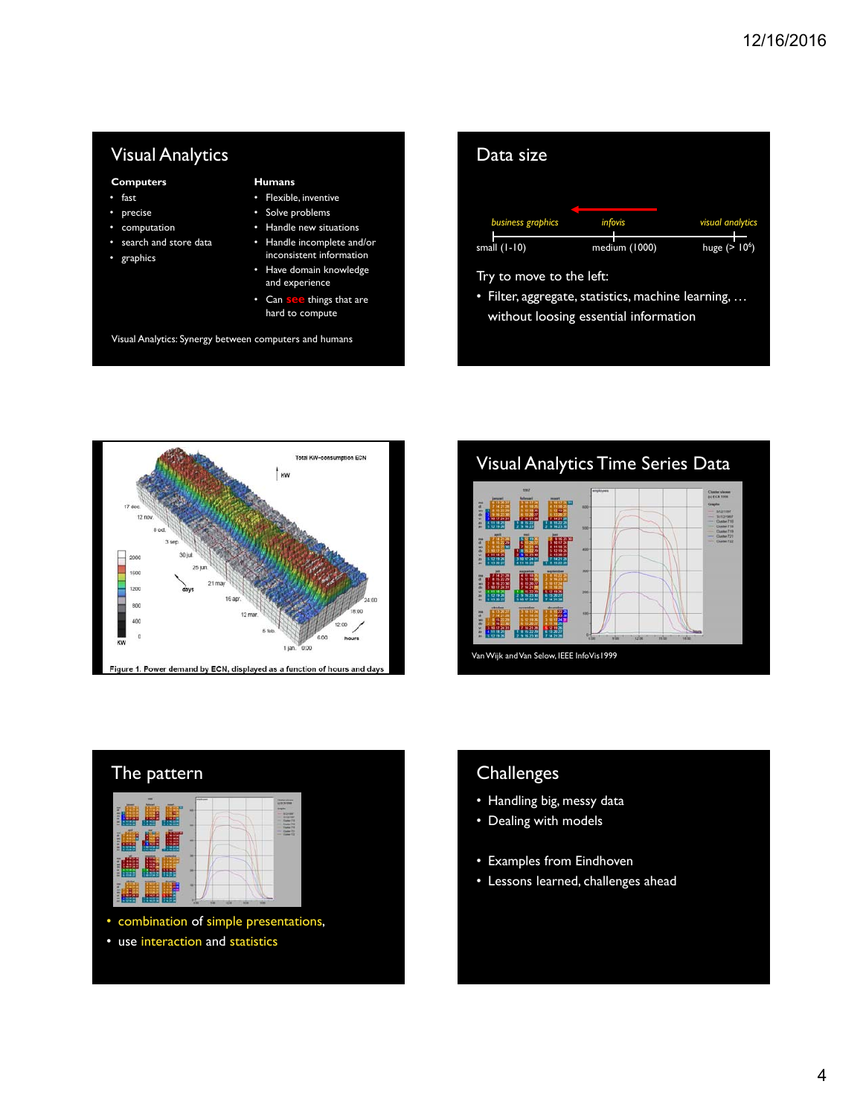#### Visual Analytics

#### **Computers**

- fast
- precise
- computation • search and store data
- graphics
- **Humans** • Flexible, inventive
- Solve problems
- Handle new situations
- Handle incomplete and/or inconsistent information
- Have domain knowledge and experience
- Can **see** things that are hard to compute

Visual Analytics: Synergy between computers and humans

| Data size                |                                                    |                  |
|--------------------------|----------------------------------------------------|------------------|
| business graphics        | <i>infovis</i>                                     | visual analytics |
| small $(1-10)$           | medium (1000)                                      | huge $(>106)$    |
| Try to move to the left: | · Filter, aggregate, statistics, machine learning, |                  |
|                          | without loosing essential information              |                  |







• use interaction and statistics

### **Challenges**

- Handling big, messy data
- Dealing with models
- Examples from Eindhoven
- Lessons learned, challenges ahead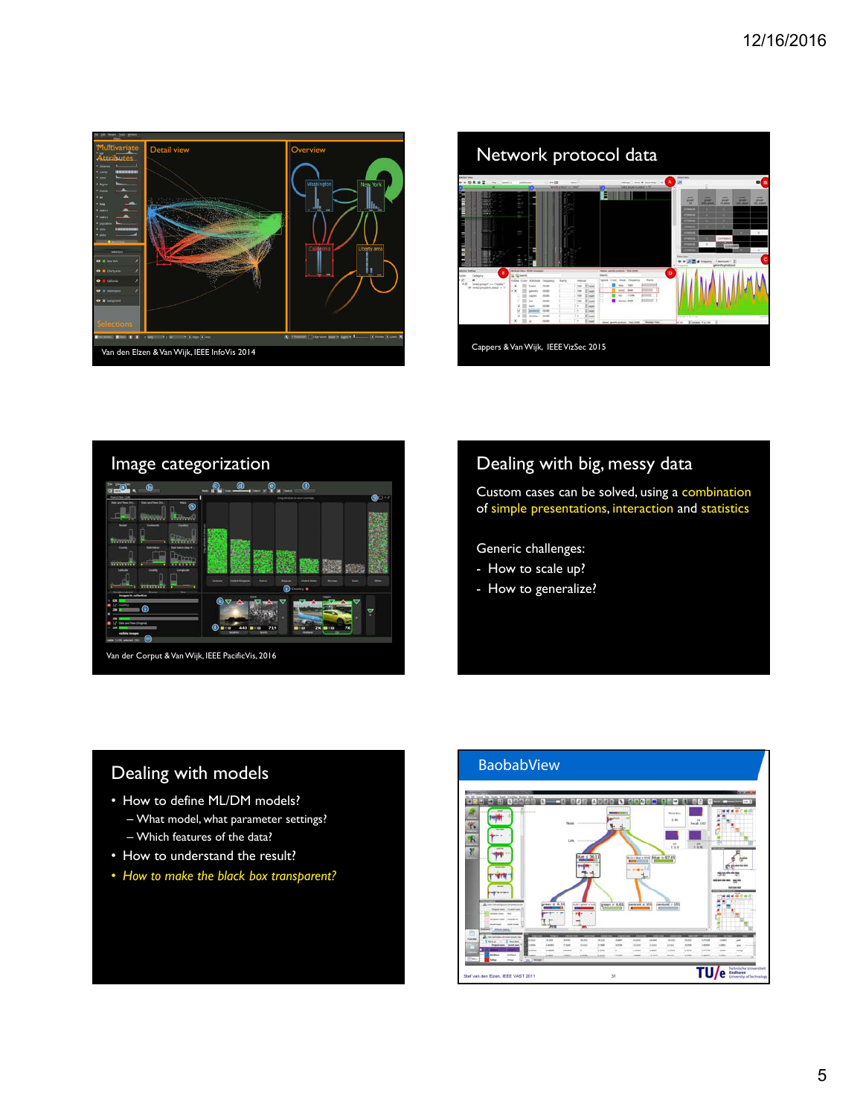





#### Dealing with big, messy data

Custom cases can be solved, using a combination of simple presentations, interaction and statistics

Generic challenges:

- How to scale up?
- How to generalize?

#### Dealing with models

- How to define ML/DM models?
	- What model, what parameter settings? – Which features of the data?
- How to understand the result?
- *How to make the black box transparent?*

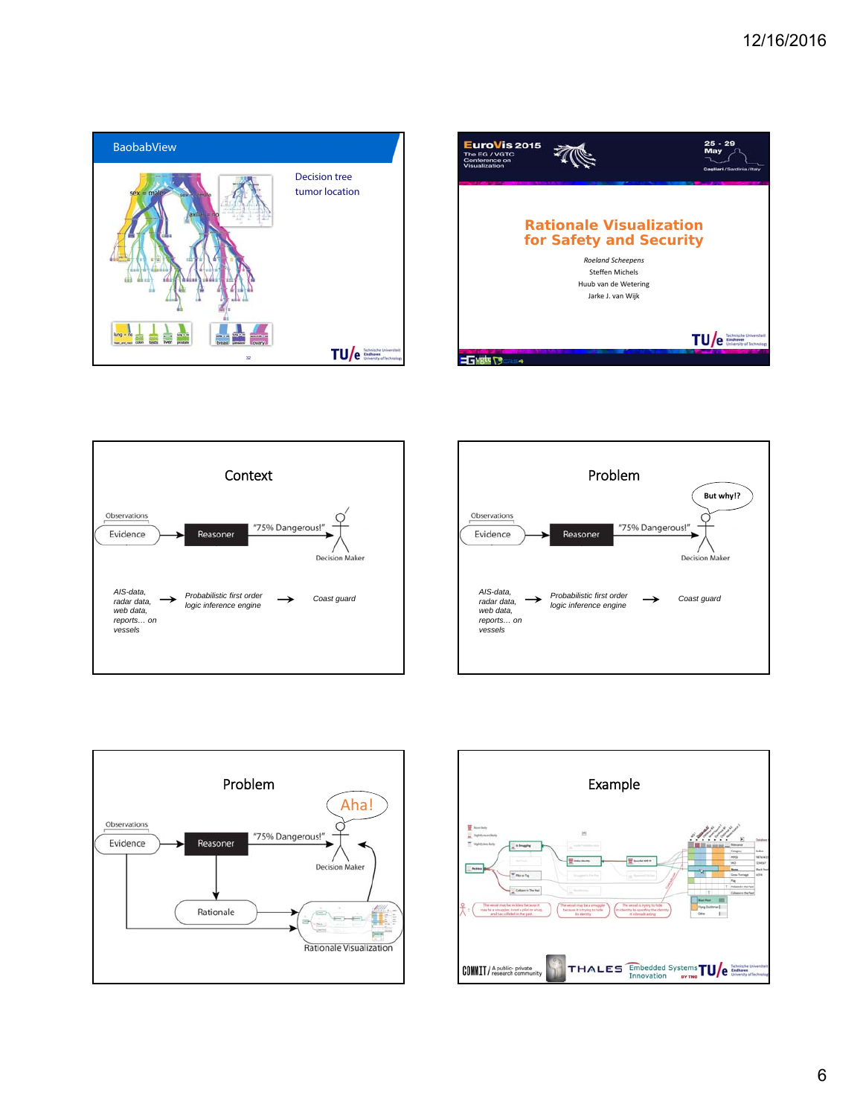